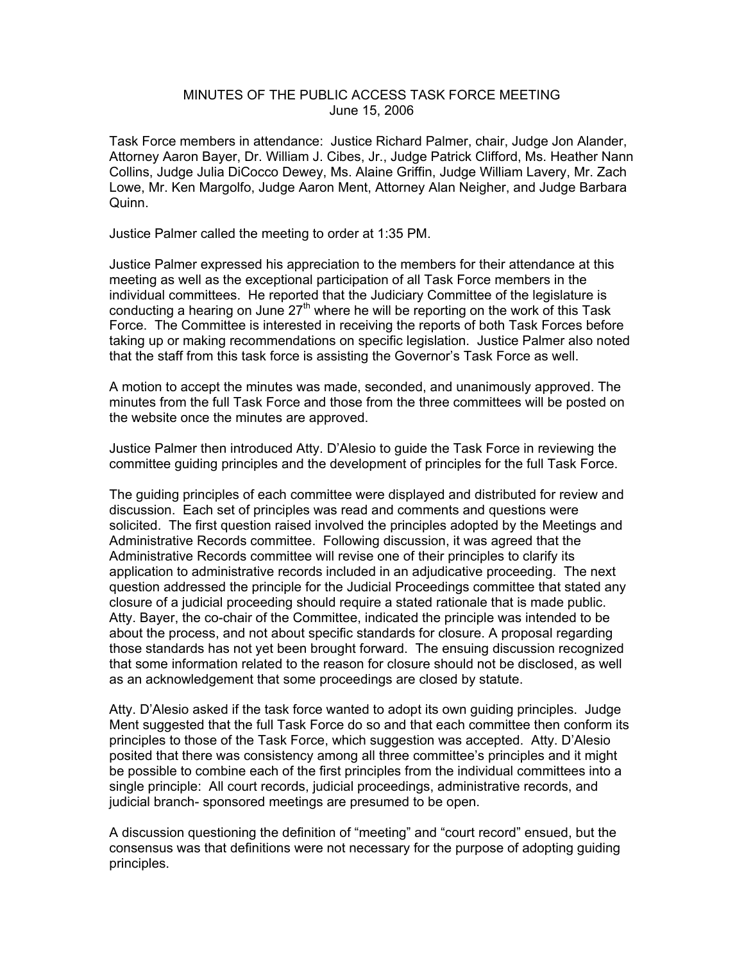## MINUTES OF THE PUBLIC ACCESS TASK FORCE MEETING June 15, 2006

Task Force members in attendance: Justice Richard Palmer, chair, Judge Jon Alander, Attorney Aaron Bayer, Dr. William J. Cibes, Jr., Judge Patrick Clifford, Ms. Heather Nann Collins, Judge Julia DiCocco Dewey, Ms. Alaine Griffin, Judge William Lavery, Mr. Zach Lowe, Mr. Ken Margolfo, Judge Aaron Ment, Attorney Alan Neigher, and Judge Barbara Quinn.

Justice Palmer called the meeting to order at 1:35 PM.

Justice Palmer expressed his appreciation to the members for their attendance at this meeting as well as the exceptional participation of all Task Force members in the individual committees. He reported that the Judiciary Committee of the legislature is conducting a hearing on June  $27<sup>th</sup>$  where he will be reporting on the work of this Task Force. The Committee is interested in receiving the reports of both Task Forces before taking up or making recommendations on specific legislation. Justice Palmer also noted that the staff from this task force is assisting the Governor's Task Force as well.

A motion to accept the minutes was made, seconded, and unanimously approved. The minutes from the full Task Force and those from the three committees will be posted on the website once the minutes are approved.

Justice Palmer then introduced Atty. D'Alesio to guide the Task Force in reviewing the committee guiding principles and the development of principles for the full Task Force.

The guiding principles of each committee were displayed and distributed for review and discussion. Each set of principles was read and comments and questions were solicited. The first question raised involved the principles adopted by the Meetings and Administrative Records committee. Following discussion, it was agreed that the Administrative Records committee will revise one of their principles to clarify its application to administrative records included in an adjudicative proceeding. The next question addressed the principle for the Judicial Proceedings committee that stated any closure of a judicial proceeding should require a stated rationale that is made public. Atty. Bayer, the co-chair of the Committee, indicated the principle was intended to be about the process, and not about specific standards for closure. A proposal regarding those standards has not yet been brought forward. The ensuing discussion recognized that some information related to the reason for closure should not be disclosed, as well as an acknowledgement that some proceedings are closed by statute.

Atty. D'Alesio asked if the task force wanted to adopt its own guiding principles. Judge Ment suggested that the full Task Force do so and that each committee then conform its principles to those of the Task Force, which suggestion was accepted. Atty. D'Alesio posited that there was consistency among all three committee's principles and it might be possible to combine each of the first principles from the individual committees into a single principle: All court records, judicial proceedings, administrative records, and judicial branch- sponsored meetings are presumed to be open.

A discussion questioning the definition of "meeting" and "court record" ensued, but the consensus was that definitions were not necessary for the purpose of adopting guiding principles.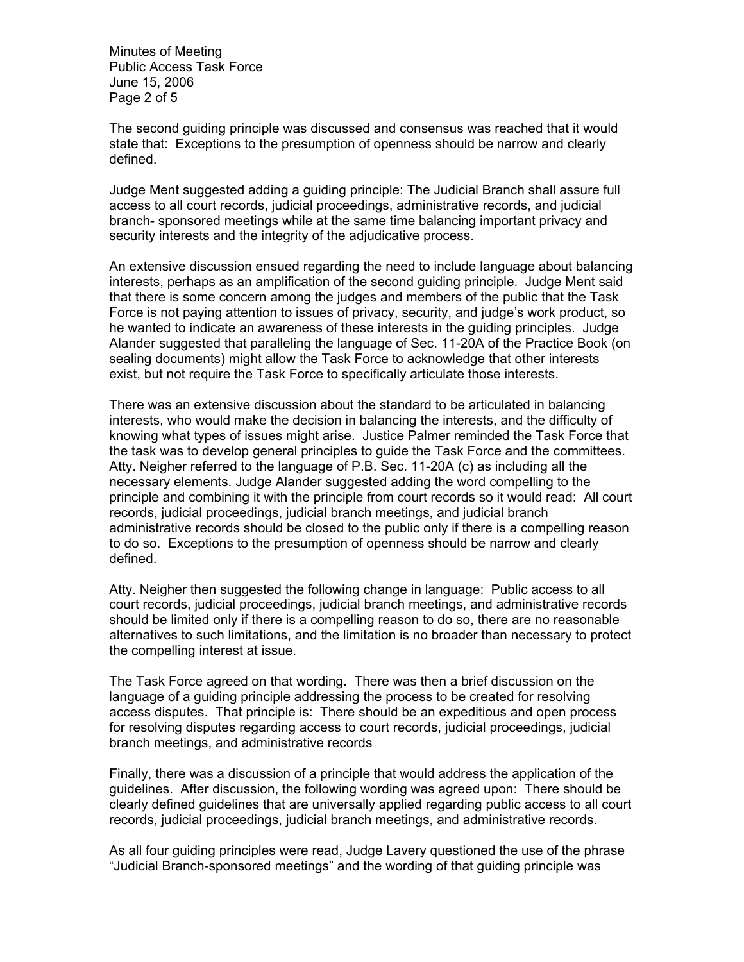Minutes of Meeting Public Access Task Force June 15, 2006 Page 2 of 5

The second guiding principle was discussed and consensus was reached that it would state that: Exceptions to the presumption of openness should be narrow and clearly defined.

Judge Ment suggested adding a guiding principle: The Judicial Branch shall assure full access to all court records, judicial proceedings, administrative records, and judicial branch- sponsored meetings while at the same time balancing important privacy and security interests and the integrity of the adjudicative process.

An extensive discussion ensued regarding the need to include language about balancing interests, perhaps as an amplification of the second guiding principle. Judge Ment said that there is some concern among the judges and members of the public that the Task Force is not paying attention to issues of privacy, security, and judge's work product, so he wanted to indicate an awareness of these interests in the guiding principles. Judge Alander suggested that paralleling the language of Sec. 11-20A of the Practice Book (on sealing documents) might allow the Task Force to acknowledge that other interests exist, but not require the Task Force to specifically articulate those interests.

There was an extensive discussion about the standard to be articulated in balancing interests, who would make the decision in balancing the interests, and the difficulty of knowing what types of issues might arise. Justice Palmer reminded the Task Force that the task was to develop general principles to guide the Task Force and the committees. Atty. Neigher referred to the language of P.B. Sec. 11-20A (c) as including all the necessary elements. Judge Alander suggested adding the word compelling to the principle and combining it with the principle from court records so it would read: All court records, judicial proceedings, judicial branch meetings, and judicial branch administrative records should be closed to the public only if there is a compelling reason to do so. Exceptions to the presumption of openness should be narrow and clearly defined.

Atty. Neigher then suggested the following change in language: Public access to all court records, judicial proceedings, judicial branch meetings, and administrative records should be limited only if there is a compelling reason to do so, there are no reasonable alternatives to such limitations, and the limitation is no broader than necessary to protect the compelling interest at issue.

The Task Force agreed on that wording. There was then a brief discussion on the language of a guiding principle addressing the process to be created for resolving access disputes. That principle is: There should be an expeditious and open process for resolving disputes regarding access to court records, judicial proceedings, judicial branch meetings, and administrative records

Finally, there was a discussion of a principle that would address the application of the guidelines. After discussion, the following wording was agreed upon: There should be clearly defined guidelines that are universally applied regarding public access to all court records, judicial proceedings, judicial branch meetings, and administrative records.

As all four guiding principles were read, Judge Lavery questioned the use of the phrase "Judicial Branch-sponsored meetings" and the wording of that guiding principle was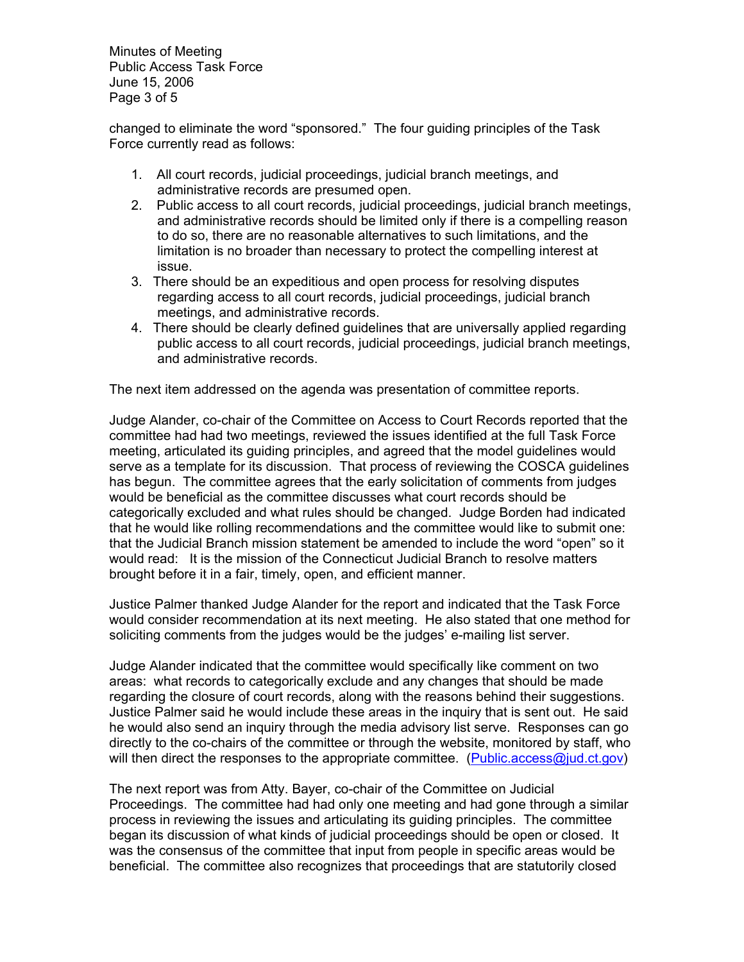Minutes of Meeting Public Access Task Force June 15, 2006 Page 3 of 5

changed to eliminate the word "sponsored." The four guiding principles of the Task Force currently read as follows:

- 1. All court records, judicial proceedings, judicial branch meetings, and administrative records are presumed open.
- 2. Public access to all court records, judicial proceedings, judicial branch meetings, and administrative records should be limited only if there is a compelling reason to do so, there are no reasonable alternatives to such limitations, and the limitation is no broader than necessary to protect the compelling interest at issue.
- 3. There should be an expeditious and open process for resolving disputes regarding access to all court records, judicial proceedings, judicial branch meetings, and administrative records.
- 4. There should be clearly defined guidelines that are universally applied regarding public access to all court records, judicial proceedings, judicial branch meetings, and administrative records.

The next item addressed on the agenda was presentation of committee reports.

Judge Alander, co-chair of the Committee on Access to Court Records reported that the committee had had two meetings, reviewed the issues identified at the full Task Force meeting, articulated its guiding principles, and agreed that the model guidelines would serve as a template for its discussion. That process of reviewing the COSCA guidelines has begun. The committee agrees that the early solicitation of comments from judges would be beneficial as the committee discusses what court records should be categorically excluded and what rules should be changed. Judge Borden had indicated that he would like rolling recommendations and the committee would like to submit one: that the Judicial Branch mission statement be amended to include the word "open" so it would read: It is the mission of the Connecticut Judicial Branch to resolve matters brought before it in a fair, timely, open, and efficient manner.

Justice Palmer thanked Judge Alander for the report and indicated that the Task Force would consider recommendation at its next meeting. He also stated that one method for soliciting comments from the judges would be the judges' e-mailing list server.

Judge Alander indicated that the committee would specifically like comment on two areas: what records to categorically exclude and any changes that should be made regarding the closure of court records, along with the reasons behind their suggestions. Justice Palmer said he would include these areas in the inquiry that is sent out. He said he would also send an inquiry through the media advisory list serve. Responses can go directly to the co-chairs of the committee or through the website, monitored by staff, who will then direct the responses to the appropriate committee. (Public.access@jud.ct.gov)

The next report was from Atty. Bayer, co-chair of the Committee on Judicial Proceedings. The committee had had only one meeting and had gone through a similar process in reviewing the issues and articulating its guiding principles. The committee began its discussion of what kinds of judicial proceedings should be open or closed. It was the consensus of the committee that input from people in specific areas would be beneficial. The committee also recognizes that proceedings that are statutorily closed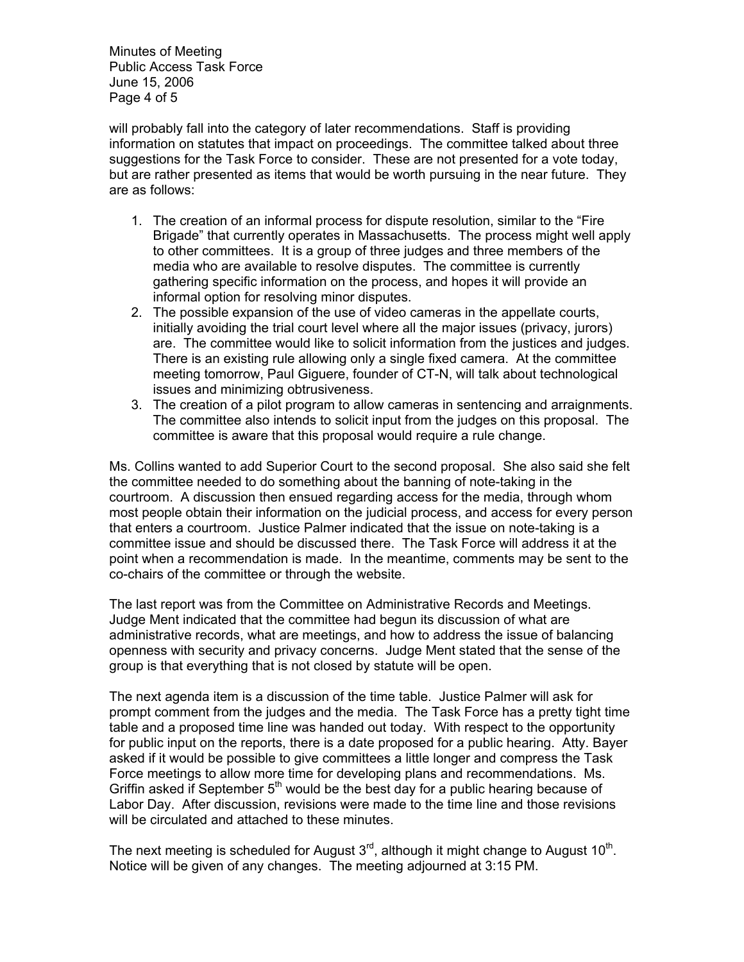Minutes of Meeting Public Access Task Force June 15, 2006 Page 4 of 5

will probably fall into the category of later recommendations. Staff is providing information on statutes that impact on proceedings. The committee talked about three suggestions for the Task Force to consider. These are not presented for a vote today, but are rather presented as items that would be worth pursuing in the near future. They are as follows:

- 1. The creation of an informal process for dispute resolution, similar to the "Fire Brigade" that currently operates in Massachusetts. The process might well apply to other committees. It is a group of three judges and three members of the media who are available to resolve disputes. The committee is currently gathering specific information on the process, and hopes it will provide an informal option for resolving minor disputes.
- 2. The possible expansion of the use of video cameras in the appellate courts, initially avoiding the trial court level where all the major issues (privacy, jurors) are. The committee would like to solicit information from the justices and judges. There is an existing rule allowing only a single fixed camera. At the committee meeting tomorrow, Paul Giguere, founder of CT-N, will talk about technological issues and minimizing obtrusiveness.
- 3. The creation of a pilot program to allow cameras in sentencing and arraignments. The committee also intends to solicit input from the judges on this proposal. The committee is aware that this proposal would require a rule change.

Ms. Collins wanted to add Superior Court to the second proposal. She also said she felt the committee needed to do something about the banning of note-taking in the courtroom. A discussion then ensued regarding access for the media, through whom most people obtain their information on the judicial process, and access for every person that enters a courtroom. Justice Palmer indicated that the issue on note-taking is a committee issue and should be discussed there. The Task Force will address it at the point when a recommendation is made. In the meantime, comments may be sent to the co-chairs of the committee or through the website.

The last report was from the Committee on Administrative Records and Meetings. Judge Ment indicated that the committee had begun its discussion of what are administrative records, what are meetings, and how to address the issue of balancing openness with security and privacy concerns. Judge Ment stated that the sense of the group is that everything that is not closed by statute will be open.

The next agenda item is a discussion of the time table. Justice Palmer will ask for prompt comment from the judges and the media. The Task Force has a pretty tight time table and a proposed time line was handed out today. With respect to the opportunity for public input on the reports, there is a date proposed for a public hearing. Atty. Bayer asked if it would be possible to give committees a little longer and compress the Task Force meetings to allow more time for developing plans and recommendations. Ms. Griffin asked if September  $5<sup>th</sup>$  would be the best day for a public hearing because of Labor Day. After discussion, revisions were made to the time line and those revisions will be circulated and attached to these minutes.

The next meeting is scheduled for August  $3<sup>rd</sup>$ , although it might change to August 10<sup>th</sup>. Notice will be given of any changes. The meeting adjourned at 3:15 PM.